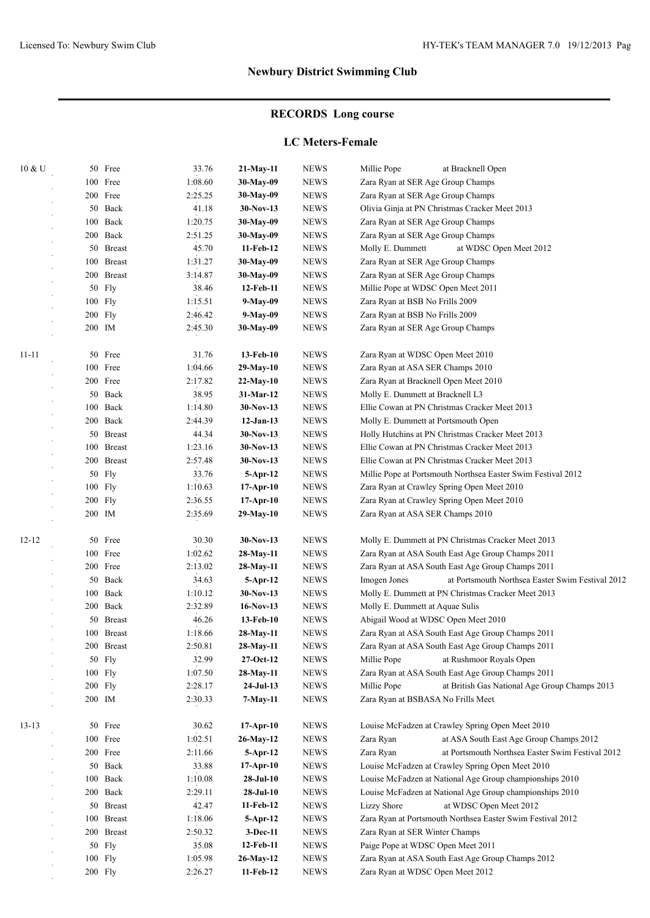# **RECORDS Long course**

### **LC Meters-Female**

| 10 & U    |        | 50 Free       | 33.76   | 21-May-11               | <b>NEWS</b>  | Millie Pope<br>at Bracknell Open                                                                  |
|-----------|--------|---------------|---------|-------------------------|--------------|---------------------------------------------------------------------------------------------------|
|           |        | 100 Free      | 1:08.60 | 30-May-09               | <b>NEWS</b>  | Zara Ryan at SER Age Group Champs                                                                 |
|           |        | 200 Free      | 2:25.25 | 30-May-09               | <b>NEWS</b>  | Zara Ryan at SER Age Group Champs                                                                 |
|           |        | 50 Back       | 41.18   | $30-Nov-13$             | <b>NEWS</b>  | Olivia Ginja at PN Christmas Cracker Meet 2013                                                    |
|           |        | 100 Back      | 1:20.75 | 30-May-09               | <b>NEWS</b>  | Zara Ryan at SER Age Group Champs                                                                 |
|           |        | 200 Back      | 2:51.25 | 30-May-09               | <b>NEWS</b>  | Zara Ryan at SER Age Group Champs                                                                 |
|           |        | 50 Breast     | 45.70   | 11-Feb-12               | <b>NEWS</b>  | Molly E. Dummett<br>at WDSC Open Meet 2012                                                        |
|           |        | 100 Breast    | 1:31.27 | 30-May-09               | <b>NEWS</b>  | Zara Ryan at SER Age Group Champs                                                                 |
|           |        | 200 Breast    | 3:14.87 | 30-May-09               | <b>NEWS</b>  | Zara Ryan at SER Age Group Champs                                                                 |
|           |        | 50 Fly        | 38.46   | 12-Feb-11               | <b>NEWS</b>  | Millie Pope at WDSC Open Meet 2011                                                                |
|           |        | 100 Fly       | 1:15.51 | 9-May-09                | <b>NEWS</b>  | Zara Ryan at BSB No Frills 2009                                                                   |
|           |        | $200$ Fly     | 2:46.42 | 9-May-09                | <b>NEWS</b>  | Zara Ryan at BSB No Frills 2009                                                                   |
|           |        | 200 IM        | 2:45.30 | 30-May-09               | <b>NEWS</b>  | Zara Ryan at SER Age Group Champs                                                                 |
|           |        |               |         |                         |              |                                                                                                   |
| $11 - 11$ |        | 50 Free       | 31.76   | 13-Feb-10               | <b>NEWS</b>  | Zara Ryan at WDSC Open Meet 2010                                                                  |
|           |        | 100 Free      | 1:04.66 | 29-May-10               | <b>NEWS</b>  | Zara Ryan at ASA SER Champs 2010                                                                  |
|           |        | 200 Free      | 2:17.82 | $22-May-10$             | <b>NEWS</b>  | Zara Ryan at Bracknell Open Meet 2010                                                             |
|           |        | 50 Back       | 38.95   | 31-Mar-12               | <b>NEWS</b>  | Molly E. Dummett at Bracknell L3                                                                  |
|           | 100    | Back          | 1:14.80 | $30-Nov-13$             | <b>NEWS</b>  | Ellie Cowan at PN Christmas Cracker Meet 2013                                                     |
|           |        | 200 Back      | 2:44.39 | $12-Jan-13$             | <b>NEWS</b>  | Molly E. Dummett at Portsmouth Open                                                               |
|           |        | 50 Breast     | 44.34   | $30-Nov-13$             | <b>NEWS</b>  |                                                                                                   |
|           |        | 100 Breast    | 1:23.16 | $30-Nov-13$             | <b>NEWS</b>  | Holly Hutchins at PN Christmas Cracker Meet 2013<br>Ellie Cowan at PN Christmas Cracker Meet 2013 |
|           |        |               |         |                         |              |                                                                                                   |
|           |        | 200 Breast    | 2:57.48 | $30-Nov-13$             | <b>NEWS</b>  | Ellie Cowan at PN Christmas Cracker Meet 2013                                                     |
|           | 50     | Fly           | 33.76   | 5-Apr-12                | <b>NEWS</b>  | Millie Pope at Portsmouth Northsea Easter Swim Festival 2012                                      |
|           |        | 100 Fly       | 1:10.63 | $17-Apr-10$             | <b>NEWS</b>  | Zara Ryan at Crawley Spring Open Meet 2010                                                        |
|           |        | $200$ Fly     | 2:36.55 | $17$ -Apr-10            | <b>NEWS</b>  | Zara Ryan at Crawley Spring Open Meet 2010                                                        |
|           | 200 IM |               | 2:35.69 | 29-May-10               | <b>NEWS</b>  | Zara Ryan at ASA SER Champs 2010                                                                  |
| $12 - 12$ | 50     | Free          | 30.30   | $30-Nov-13$             | <b>NEWS</b>  | Molly E. Dummett at PN Christmas Cracker Meet 2013                                                |
|           |        | 100 Free      | 1:02.62 | 28-May-11               | <b>NEWS</b>  | Zara Ryan at ASA South East Age Group Champs 2011                                                 |
|           |        | 200 Free      | 2:13.02 |                         | <b>NEWS</b>  | Zara Ryan at ASA South East Age Group Champs 2011                                                 |
|           |        | 50 Back       | 34.63   | 28-May-11<br>$5-Apr-12$ | <b>NEWS</b>  | at Portsmouth Northsea Easter Swim Festival 2012<br>Imogen Jones                                  |
|           | 100    | Back          | 1:10.12 | $30-Nov-13$             | <b>NEWS</b>  | Molly E. Dummett at PN Christmas Cracker Meet 2013                                                |
|           |        | 200 Back      | 2:32.89 | $16-Nov-13$             | <b>NEWS</b>  |                                                                                                   |
|           |        |               |         |                         |              | Molly E. Dummett at Aquae Sulis                                                                   |
|           | 50     | <b>Breast</b> | 46.26   | 13-Feb-10               | <b>NEWS</b>  | Abigail Wood at WDSC Open Meet 2010                                                               |
|           | 100    | <b>Breast</b> | 1:18.66 | 28-May-11               | <b>NEWS</b>  | Zara Ryan at ASA South East Age Group Champs 2011                                                 |
|           |        | 200 Breast    | 2:50.81 | 28-May-11               | <b>NEWS</b>  | Zara Ryan at ASA South East Age Group Champs 2011                                                 |
|           |        | 50 Fly        | 32.99   | $27-Oct-12$             | <b>NEWS</b>  | Millie Pope<br>at Rushmoor Royals Open                                                            |
|           |        | 100 Fly       | 1:07.50 | 28-May-11               | <b>NEWS</b>  | Zara Ryan at ASA South East Age Group Champs 2011                                                 |
|           |        | 200 Fly       | 2:28.17 | $24-Jul-13$             | <b>NEWS</b>  | Millie Pope<br>at British Gas National Age Group Champs 2013                                      |
|           |        | 200 IM        | 2:30.33 | 7-May-11                | <b>NEWS</b>  | Zara Ryan at BSBASA No Frills Meet                                                                |
| $13 - 13$ |        | 50 Free       | 30.62   | $17-Apr-10$             | <b>NEWS</b>  | Louise McFadzen at Crawley Spring Open Meet 2010                                                  |
|           |        | 100 Free      | 1:02.51 | 26-May-12               | ${\rm NEWS}$ | at ASA South East Age Group Champs 2012<br>Zara Ryan                                              |
|           |        | 200 Free      | 2:11.66 | 5-Apr-12                | <b>NEWS</b>  | Zara Ryan<br>at Portsmouth Northsea Easter Swim Festival 2012                                     |
|           |        |               |         |                         |              |                                                                                                   |
|           |        | 50 Back       | 33.88   | $17-Apr-10$             | <b>NEWS</b>  | Louise McFadzen at Crawley Spring Open Meet 2010                                                  |
|           |        | 100 Back      | 1:10.08 | $28-JuI-10$             | <b>NEWS</b>  | Louise McFadzen at National Age Group championships 2010                                          |
|           |        | 200 Back      | 2:29.11 | $28-JuI-10$             | <b>NEWS</b>  | Louise McFadzen at National Age Group championships 2010                                          |
|           |        | 50 Breast     | 42.47   | 11-Feb-12               | <b>NEWS</b>  | <b>Lizzy Shore</b><br>at WDSC Open Meet 2012                                                      |
|           |        | 100 Breast    | 1:18.06 | 5-Apr-12                | <b>NEWS</b>  | Zara Ryan at Portsmouth Northsea Easter Swim Festival 2012                                        |
|           |        | 200 Breast    | 2:50.32 | $3-Dec-11$              | <b>NEWS</b>  | Zara Ryan at SER Winter Champs                                                                    |
|           |        | 50 Fly        | 35.08   | 12-Feb-11               | <b>NEWS</b>  | Paige Pope at WDSC Open Meet 2011                                                                 |
|           |        | 100 Fly       | 1:05.98 | 26-May-12               | <b>NEWS</b>  | Zara Ryan at ASA South East Age Group Champs 2012                                                 |
|           |        | 200 Fly       | 2:26.27 | 11-Feb-12               | <b>NEWS</b>  | Zara Ryan at WDSC Open Meet 2012                                                                  |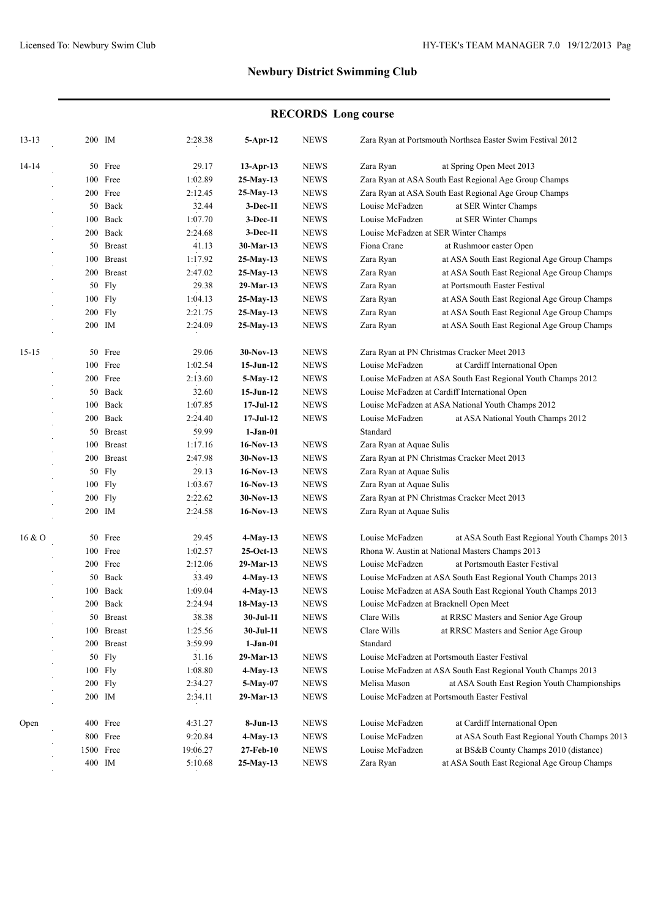# **RECORDS Long course**

| $13 - 13$ | 200 IM            | 2:28.38  | 5-Apr-12             | <b>NEWS</b> |                                                              | Zara Ryan at Portsmouth Northsea Easter Swim Festival 2012                                    |  |
|-----------|-------------------|----------|----------------------|-------------|--------------------------------------------------------------|-----------------------------------------------------------------------------------------------|--|
| 14-14     | 50 Free           | 29.17    | $13-Apr-13$          | <b>NEWS</b> | Zara Ryan                                                    | at Spring Open Meet 2013                                                                      |  |
|           | 100 Free          | 1:02.89  | $25-May-13$          | <b>NEWS</b> |                                                              | Zara Ryan at ASA South East Regional Age Group Champs                                         |  |
|           | 200 Free          | 2:12.45  | 25-May-13            | <b>NEWS</b> | Zara Ryan at ASA South East Regional Age Group Champs        |                                                                                               |  |
|           | 50 Back           | 32.44    | $3-Dec-11$           | <b>NEWS</b> | Louise McFadzen                                              | at SER Winter Champs                                                                          |  |
|           | 100 Back          | 1:07.70  | $3-Dec-11$           | <b>NEWS</b> | Louise McFadzen                                              | at SER Winter Champs                                                                          |  |
|           | 200 Back          | 2:24.68  | $3-Dec-11$           | <b>NEWS</b> | Louise McFadzen at SER Winter Champs                         |                                                                                               |  |
|           | 50 Breast         | 41.13    | 30-Mar-13            | <b>NEWS</b> | Fiona Crane                                                  | at Rushmoor easter Open                                                                       |  |
|           | 100 Breast        | 1:17.92  | $25-May-13$          | <b>NEWS</b> | Zara Ryan                                                    | at ASA South East Regional Age Group Champs                                                   |  |
|           | 200 Breast        | 2:47.02  | $25-May-13$          | <b>NEWS</b> | Zara Ryan                                                    | at ASA South East Regional Age Group Champs                                                   |  |
|           | 50 Fly            | 29.38    | 29-Mar-13            | <b>NEWS</b> | Zara Ryan                                                    | at Portsmouth Easter Festival                                                                 |  |
|           | 100 Fly           | 1:04.13  | $25-May-13$          | <b>NEWS</b> | Zara Ryan                                                    | at ASA South East Regional Age Group Champs                                                   |  |
|           | 200 Fly           | 2:21.75  | $25-May-13$          | <b>NEWS</b> | Zara Ryan                                                    | at ASA South East Regional Age Group Champs                                                   |  |
|           | 200 IM            | 2:24.09  | 25-May-13            | <b>NEWS</b> | Zara Ryan                                                    | at ASA South East Regional Age Group Champs                                                   |  |
|           |                   |          |                      |             |                                                              |                                                                                               |  |
| $15 - 15$ | 50 Free           | 29.06    | $30-Nov-13$          | <b>NEWS</b> |                                                              | Zara Ryan at PN Christmas Cracker Meet 2013                                                   |  |
|           | 100 Free          | 1:02.54  | $15$ -Jun- $12$      | <b>NEWS</b> | Louise McFadzen                                              | at Cardiff International Open                                                                 |  |
|           | 200 Free          | 2:13.60  | 5-May-12             | <b>NEWS</b> | Louise McFadzen at ASA South East Regional Youth Champs 2012 |                                                                                               |  |
|           | 50 Back           | 32.60    | $15$ -Jun- $12$      | <b>NEWS</b> | Louise McFadzen at Cardiff International Open                |                                                                                               |  |
|           | 100 Back          | 1:07.85  | $17-JuI-12$          | <b>NEWS</b> |                                                              | Louise McFadzen at ASA National Youth Champs 2012                                             |  |
|           | 200 Back          | 2:24.40  | $17-JuI-12$          | <b>NEWS</b> | Louise McFadzen                                              | at ASA National Youth Champs 2012                                                             |  |
|           | 50 Breast         | 59.99    | $1-Jan-01$           |             | Standard                                                     |                                                                                               |  |
|           | 100 Breast        | 1:17.16  | $16-Nov-13$          | <b>NEWS</b> | Zara Ryan at Aquae Sulis                                     |                                                                                               |  |
|           | 200 Breast        | 2:47.98  | $30-Nov-13$          | <b>NEWS</b> | Zara Ryan at PN Christmas Cracker Meet 2013                  |                                                                                               |  |
|           | 50 Fly            | 29.13    | $16-Nov-13$          | <b>NEWS</b> | Zara Ryan at Aquae Sulis                                     |                                                                                               |  |
|           | 100 Fly           | 1:03.67  | $16-Nov-13$          | <b>NEWS</b> | Zara Ryan at Aquae Sulis                                     |                                                                                               |  |
|           | 200 Fly           | 2:22.62  | $30-Nov-13$          | <b>NEWS</b> |                                                              | Zara Ryan at PN Christmas Cracker Meet 2013                                                   |  |
|           | 200 IM            | 2:24.58  | $16-Nov-13$          | <b>NEWS</b> | Zara Ryan at Aquae Sulis                                     |                                                                                               |  |
| 16 & 0    | 50 Free           | 29.45    | 4-May-13             | <b>NEWS</b> | Louise McFadzen                                              | at ASA South East Regional Youth Champs 2013                                                  |  |
|           | 100 Free          | 1:02.57  | $25-Oct-13$          | <b>NEWS</b> |                                                              | Rhona W. Austin at National Masters Champs 2013                                               |  |
|           | 200 Free          | 2:12.06  | 29-Mar-13            | <b>NEWS</b> | Louise McFadzen<br>at Portsmouth Easter Festival             |                                                                                               |  |
|           | 50 Back           | 33.49    | $4$ -May-13          | <b>NEWS</b> | Louise McFadzen at ASA South East Regional Youth Champs 2013 |                                                                                               |  |
|           | 100 Back          | 1:09.04  | $4-May-13$           | <b>NEWS</b> |                                                              | Louise McFadzen at ASA South East Regional Youth Champs 2013                                  |  |
|           | 200 Back          | 2:24.94  | 18-May-13            | <b>NEWS</b> |                                                              | Louise McFadzen at Bracknell Open Meet                                                        |  |
|           | 50 Breast         | 38.38    | 30-Jul-11            | <b>NEWS</b> | Clare Wills                                                  | at RRSC Masters and Senior Age Group                                                          |  |
|           | 100 Breast        | 1:25.56  | 30-Jul-11            | <b>NEWS</b> | Clare Wills                                                  | at RRSC Masters and Senior Age Group                                                          |  |
|           | 200 Breast        | 3:59.99  | $1-Jan-01$           |             | Standard                                                     |                                                                                               |  |
|           | 50 Fly            | 31.16    | 29-Mar-13            | <b>NEWS</b> |                                                              | Louise McFadzen at Portsmouth Easter Festival                                                 |  |
|           | 100 Fly           | 1:08.80  |                      | <b>NEWS</b> |                                                              | Louise McFadzen at ASA South East Regional Youth Champs 2013                                  |  |
|           |                   |          | 4-May-13<br>5-May-07 |             | Melisa Mason                                                 |                                                                                               |  |
|           | 200 Fly<br>200 IM | 2:34.27  |                      | <b>NEWS</b> |                                                              | at ASA South East Region Youth Championships<br>Louise McFadzen at Portsmouth Easter Festival |  |
|           |                   | 2:34.11  | 29-Mar-13            | <b>NEWS</b> |                                                              |                                                                                               |  |
| Open      | 400 Free          | 4:31.27  | 8-Jun-13             | <b>NEWS</b> | Louise McFadzen                                              | at Cardiff International Open                                                                 |  |
|           | 800 Free          | 9:20.84  | $4-May-13$           | <b>NEWS</b> | Louise McFadzen                                              | at ASA South East Regional Youth Champs 2013                                                  |  |
|           | 1500 Free         | 19:06.27 | 27-Feb-10            | <b>NEWS</b> | Louise McFadzen                                              | at BS&B County Champs 2010 (distance)                                                         |  |
|           | 400 IM            | 5:10.68  | $25-May-13$          | <b>NEWS</b> | Zara Ryan                                                    | at ASA South East Regional Age Group Champs                                                   |  |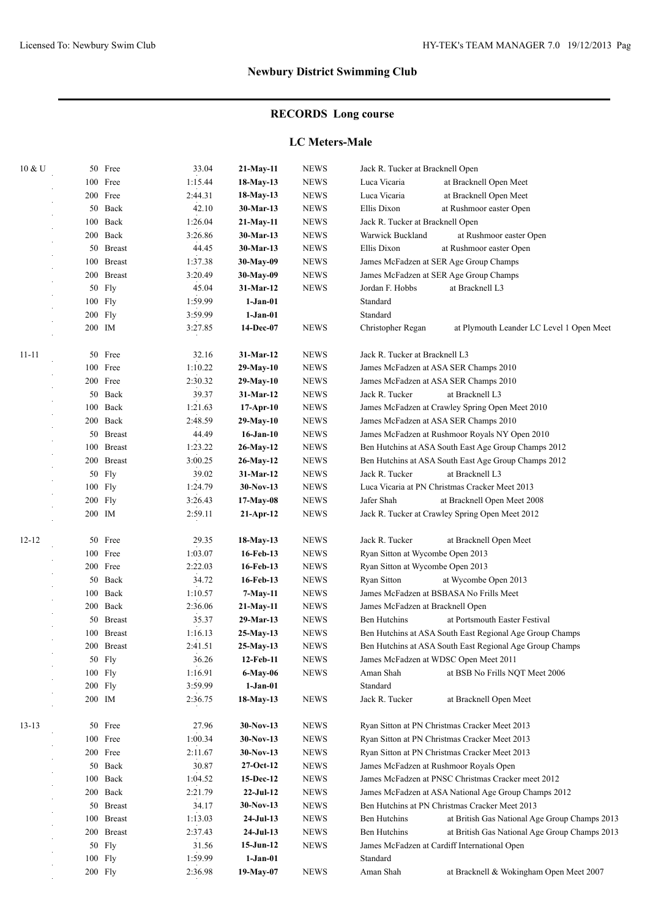# **RECORDS Long course**

### **LC Meters-Male**

| 10 & U    |           | 50 Free       | 33.04   | 21-May-11       | <b>NEWS</b> | Jack R. Tucker at Bracknell Open                              |  |
|-----------|-----------|---------------|---------|-----------------|-------------|---------------------------------------------------------------|--|
|           |           | 100 Free      | 1:15.44 | 18-May-13       | <b>NEWS</b> | Luca Vicaria<br>at Bracknell Open Meet                        |  |
|           |           | 200 Free      | 2:44.31 | 18-May-13       | <b>NEWS</b> | Luca Vicaria<br>at Bracknell Open Meet                        |  |
|           |           | 50 Back       | 42.10   | 30-Mar-13       | <b>NEWS</b> | Ellis Dixon<br>at Rushmoor easter Open                        |  |
|           |           | 100 Back      | 1:26.04 | 21-May-11       | <b>NEWS</b> | Jack R. Tucker at Bracknell Open                              |  |
|           |           | 200 Back      | 3:26.86 | 30-Mar-13       | <b>NEWS</b> | Warwick Buckland<br>at Rushmoor easter Open                   |  |
|           |           | 50 Breast     | 44.45   | 30-Mar-13       | <b>NEWS</b> | Ellis Dixon<br>at Rushmoor easter Open                        |  |
|           | 100       | <b>Breast</b> | 1:37.38 | 30-May-09       | <b>NEWS</b> | James McFadzen at SER Age Group Champs                        |  |
|           |           | 200 Breast    | 3:20.49 | 30-May-09       | <b>NEWS</b> | James McFadzen at SER Age Group Champs                        |  |
|           |           | 50 Fly        | 45.04   | 31-Mar-12       | <b>NEWS</b> | Jordan F. Hobbs<br>at Bracknell L3                            |  |
|           |           | 100 Fly       | 1:59.99 | $1-Jan-01$      |             | Standard                                                      |  |
|           |           | 200 Fly       | 3:59.99 | $1-Jan-01$      |             | Standard                                                      |  |
|           |           | 200 IM        | 3:27.85 | 14-Dec-07       | <b>NEWS</b> | Christopher Regan<br>at Plymouth Leander LC Level 1 Open Meet |  |
|           |           |               |         |                 |             |                                                               |  |
| $11 - 11$ |           | 50 Free       | 32.16   | 31-Mar-12       | <b>NEWS</b> | Jack R. Tucker at Bracknell L3                                |  |
|           |           | 100 Free      | 1:10.22 | $29-May-10$     | <b>NEWS</b> | James McFadzen at ASA SER Champs 2010                         |  |
|           |           | 200 Free      | 2:30.32 | 29-May-10       | <b>NEWS</b> | James McFadzen at ASA SER Champs 2010                         |  |
|           |           | 50 Back       | 39.37   | 31-Mar-12       | <b>NEWS</b> | Jack R. Tucker<br>at Bracknell L3                             |  |
|           |           | 100 Back      | 1:21.63 | $17-Apr-10$     | <b>NEWS</b> | James McFadzen at Crawley Spring Open Meet 2010               |  |
|           |           | 200 Back      | 2:48.59 | 29-May-10       | <b>NEWS</b> | James McFadzen at ASA SER Champs 2010                         |  |
|           |           | 50 Breast     | 44.49   | $16$ -Jan- $10$ | <b>NEWS</b> | James McFadzen at Rushmoor Royals NY Open 2010                |  |
|           |           | 100 Breast    | 1:23.22 | 26-May-12       | <b>NEWS</b> | Ben Hutchins at ASA South East Age Group Champs 2012          |  |
|           |           | 200 Breast    | 3:00.25 | 26-May-12       | <b>NEWS</b> | Ben Hutchins at ASA South East Age Group Champs 2012          |  |
|           | 50        | Fly           | 39.02   | 31-Mar-12       | <b>NEWS</b> | at Bracknell L3<br>Jack R. Tucker                             |  |
|           |           | 100 Fly       | 1:24.79 | $30-Nov-13$     | <b>NEWS</b> | Luca Vicaria at PN Christmas Cracker Meet 2013                |  |
|           | $200$ Fly |               | 3:26.43 | $17-May-08$     | <b>NEWS</b> | Jafer Shah<br>at Bracknell Open Meet 2008                     |  |
|           |           | 200 IM        | 2:59.11 | $21-Apr-12$     | <b>NEWS</b> | Jack R. Tucker at Crawley Spring Open Meet 2012               |  |
|           |           |               |         |                 |             |                                                               |  |
| $12 - 12$ | 50        | Free          | 29.35   | 18-May-13       | <b>NEWS</b> | Jack R. Tucker<br>at Bracknell Open Meet                      |  |
|           |           | 100 Free      | 1:03.07 | 16-Feb-13       | <b>NEWS</b> | Ryan Sitton at Wycombe Open 2013                              |  |
|           |           | 200 Free      | 2:22.03 | 16-Feb-13       | <b>NEWS</b> | Ryan Sitton at Wycombe Open 2013                              |  |
|           |           | 50 Back       | 34.72   | 16-Feb-13       | <b>NEWS</b> | Ryan Sitton<br>at Wycombe Open 2013                           |  |
|           | 100       | Back          | 1:10.57 | 7-May-11        | <b>NEWS</b> | James McFadzen at BSBASA No Frills Meet                       |  |
|           |           | 200 Back      | 2:36.06 | $21-May-11$     | <b>NEWS</b> | James McFadzen at Bracknell Open                              |  |
|           |           | 50 Breast     | 35.37   | 29-Mar-13       | <b>NEWS</b> | Ben Hutchins<br>at Portsmouth Easter Festival                 |  |
|           | 100       | <b>Breast</b> | 1:16.13 | 25-May-13       | <b>NEWS</b> | Ben Hutchins at ASA South East Regional Age Group Champs      |  |
|           |           | 200 Breast    | 2:41.51 | 25-May-13       | <b>NEWS</b> | Ben Hutchins at ASA South East Regional Age Group Champs      |  |
|           |           | 50 Fly        | 36.26   | 12-Feb-11       | <b>NEWS</b> | James McFadzen at WDSC Open Meet 2011                         |  |
|           |           | 100 Fly       | 1:16.91 | 6-May-06        | <b>NEWS</b> | Aman Shah<br>at BSB No Frills NQT Meet 2006                   |  |
|           |           | 200 Fly       | 3:59.99 | $1-Jan-01$      |             | Standard                                                      |  |
|           |           | 200 IM        | 2:36.75 | 18-May-13       | <b>NEWS</b> | Jack R. Tucker<br>at Bracknell Open Meet                      |  |
|           |           |               |         |                 |             |                                                               |  |
| $13 - 13$ |           | 50 Free       | 27.96   | $30-Nov-13$     | <b>NEWS</b> | Ryan Sitton at PN Christmas Cracker Meet 2013                 |  |
|           |           | 100 Free      | 1:00.34 | 30-Nov-13       | <b>NEWS</b> | Ryan Sitton at PN Christmas Cracker Meet 2013                 |  |
|           |           | 200 Free      | 2:11.67 | $30-Nov-13$     | <b>NEWS</b> | Ryan Sitton at PN Christmas Cracker Meet 2013                 |  |
|           |           | 50 Back       | 30.87   | 27-Oct-12       | <b>NEWS</b> | James McFadzen at Rushmoor Royals Open                        |  |
|           |           | 100 Back      | 1:04.52 | 15-Dec-12       | <b>NEWS</b> | James McFadzen at PNSC Christmas Cracker meet 2012            |  |
|           |           | 200 Back      | 2:21.79 | $22-Ju1-12$     | <b>NEWS</b> | James McFadzen at ASA National Age Group Champs 2012          |  |
|           |           | 50 Breast     | 34.17   | 30-Nov-13       | <b>NEWS</b> | Ben Hutchins at PN Christmas Cracker Meet 2013                |  |
|           |           | 100 Breast    | 1:13.03 | $24-Jul-13$     | <b>NEWS</b> | Ben Hutchins<br>at British Gas National Age Group Champs 2013 |  |
|           |           | 200 Breast    | 2:37.43 | $24-Jul-13$     | <b>NEWS</b> | Ben Hutchins                                                  |  |
|           |           |               |         | $15-Jun-12$     |             | at British Gas National Age Group Champs 2013                 |  |
|           |           | 50 Fly        | 31.56   |                 | <b>NEWS</b> | James McFadzen at Cardiff International Open                  |  |
|           |           | 100 Fly       | 1:59.99 | $1-Jan-01$      |             | Standard                                                      |  |
|           |           | $200$ Fly     | 2:36.98 | 19-May-07       | <b>NEWS</b> | Aman Shah<br>at Bracknell & Wokingham Open Meet 2007          |  |